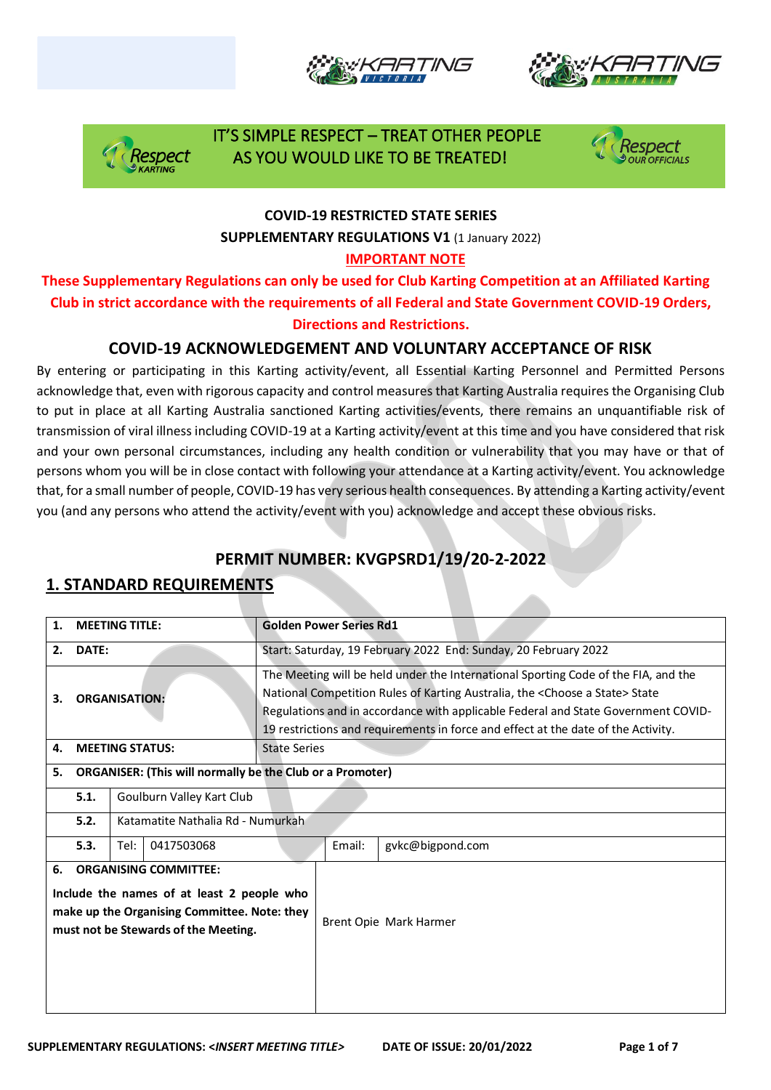





 IT'S SIMPLE RESPECT – TREAT OTHER PEOPLE AS YOU WOULD LIKE TO BE TREATED!



#### **COVID-19 RESTRICTED STATE SERIES**

**SUPPLEMENTARY REGULATIONS V1** (1 January 2022)

#### **IMPORTANT NOTE**

**These Supplementary Regulations can only be used for Club Karting Competition at an Affiliated Karting Club in strict accordance with the requirements of all Federal and State Government COVID-19 Orders, Directions and Restrictions.** 

#### **COVID-19 ACKNOWLEDGEMENT AND VOLUNTARY ACCEPTANCE OF RISK**

By entering or participating in this Karting activity/event, all Essential Karting Personnel and Permitted Persons acknowledge that, even with rigorous capacity and control measures that Karting Australia requires the Organising Club to put in place at all Karting Australia sanctioned Karting activities/events, there remains an unquantifiable risk of transmission of viral illness including COVID-19 at a Karting activity/event at this time and you have considered that risk and your own personal circumstances, including any health condition or vulnerability that you may have or that of persons whom you will be in close contact with following your attendance at a Karting activity/event. You acknowledge that, for a small number of people, COVID-19 has very serious health consequences. By attending a Karting activity/event you (and any persons who attend the activity/event with you) acknowledge and accept these obvious risks.

### **PERMIT NUMBER: KVGPSRD1/19/20-2-2022**

### **1. STANDARD REQUIREMENTS**

| <b>MEETING TITLE:</b><br>1.               |                                                                  |                                                                                                                                                                    | <b>Golden Power Series Rd1</b>                                                                                                                                                                                                                                                                                                                               |
|-------------------------------------------|------------------------------------------------------------------|--------------------------------------------------------------------------------------------------------------------------------------------------------------------|--------------------------------------------------------------------------------------------------------------------------------------------------------------------------------------------------------------------------------------------------------------------------------------------------------------------------------------------------------------|
| DATE:<br>2.                               |                                                                  |                                                                                                                                                                    | Start: Saturday, 19 February 2022 End: Sunday, 20 February 2022                                                                                                                                                                                                                                                                                              |
| <b>ORGANISATION:</b><br>3.                |                                                                  |                                                                                                                                                                    | The Meeting will be held under the International Sporting Code of the FIA, and the<br>National Competition Rules of Karting Australia, the <choose a="" state=""> State<br/>Regulations and in accordance with applicable Federal and State Government COVID-<br/>19 restrictions and requirements in force and effect at the date of the Activity.</choose> |
| 4.                                        |                                                                  | <b>MEETING STATUS:</b>                                                                                                                                             | <b>State Series</b>                                                                                                                                                                                                                                                                                                                                          |
| 5.                                        | <b>ORGANISER: (This will normally be the Club or a Promoter)</b> |                                                                                                                                                                    |                                                                                                                                                                                                                                                                                                                                                              |
| Goulburn Valley Kart Club<br>5.1.         |                                                                  |                                                                                                                                                                    |                                                                                                                                                                                                                                                                                                                                                              |
| 5.2.<br>Katamatite Nathalia Rd - Numurkah |                                                                  |                                                                                                                                                                    |                                                                                                                                                                                                                                                                                                                                                              |
| 0417503068<br>5.3.<br>Tel:                |                                                                  |                                                                                                                                                                    | Email:<br>gvkc@bigpond.com                                                                                                                                                                                                                                                                                                                                   |
| 6.                                        |                                                                  | <b>ORGANISING COMMITTEE:</b><br>Include the names of at least 2 people who<br>make up the Organising Committee. Note: they<br>must not be Stewards of the Meeting. | Brent Opie Mark Harmer                                                                                                                                                                                                                                                                                                                                       |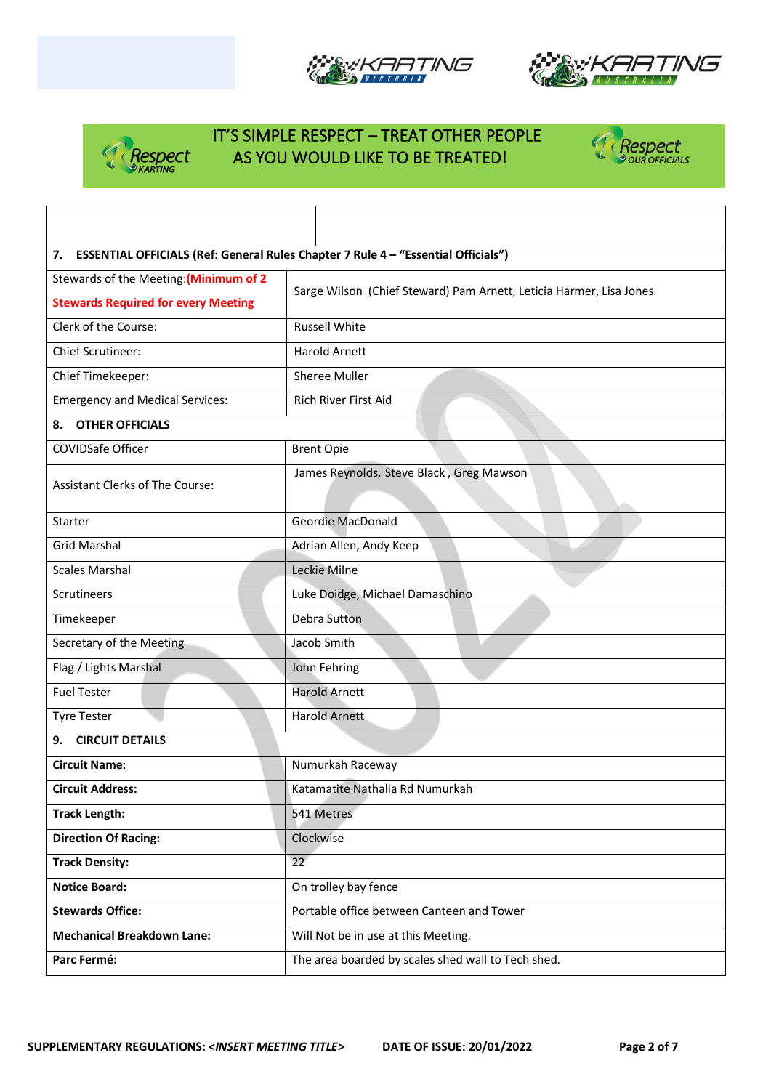





 $\mathbf l$ 



| 7. ESSENTIAL OFFICIALS (Ref: General Rules Chapter 7 Rule 4 - "Essential Officials") |                                                                     |  |  |  |
|--------------------------------------------------------------------------------------|---------------------------------------------------------------------|--|--|--|
| Stewards of the Meeting: (Minimum of 2                                               | Sarge Wilson (Chief Steward) Pam Arnett, Leticia Harmer, Lisa Jones |  |  |  |
| <b>Stewards Required for every Meeting</b>                                           |                                                                     |  |  |  |
| Clerk of the Course:                                                                 | <b>Russell White</b>                                                |  |  |  |
| <b>Chief Scrutineer:</b>                                                             | <b>Harold Arnett</b>                                                |  |  |  |
| Chief Timekeeper:                                                                    | Sheree Muller                                                       |  |  |  |
| <b>Emergency and Medical Services:</b>                                               | Rich River First Aid                                                |  |  |  |
| <b>OTHER OFFICIALS</b><br>8.                                                         |                                                                     |  |  |  |
| COVIDSafe Officer                                                                    | <b>Brent Opie</b>                                                   |  |  |  |
| Assistant Clerks of The Course:                                                      | James Reynolds, Steve Black, Greg Mawson                            |  |  |  |
| Starter                                                                              | Geordie MacDonald                                                   |  |  |  |
| <b>Grid Marshal</b>                                                                  | Adrian Allen, Andy Keep                                             |  |  |  |
| <b>Scales Marshal</b>                                                                | Leckie Milne                                                        |  |  |  |
| <b>Scrutineers</b>                                                                   | Luke Doidge, Michael Damaschino                                     |  |  |  |
| Timekeeper                                                                           | Debra Sutton                                                        |  |  |  |
| Secretary of the Meeting                                                             | Jacob Smith                                                         |  |  |  |
| Flag / Lights Marshal                                                                | John Fehring                                                        |  |  |  |
| <b>Fuel Tester</b>                                                                   | <b>Harold Arnett</b>                                                |  |  |  |
| <b>Tyre Tester</b>                                                                   | <b>Harold Arnett</b>                                                |  |  |  |
| <b>CIRCUIT DETAILS</b><br>9.                                                         |                                                                     |  |  |  |
| <b>Circuit Name:</b>                                                                 | Numurkah Raceway                                                    |  |  |  |
| <b>Circuit Address:</b>                                                              | Katamatite Nathalia Rd Numurkah                                     |  |  |  |
| <b>Track Length:</b>                                                                 | 541 Metres                                                          |  |  |  |
| <b>Direction Of Racing:</b>                                                          | Clockwise                                                           |  |  |  |
| <b>Track Density:</b>                                                                | 22                                                                  |  |  |  |
| <b>Notice Board:</b>                                                                 | On trolley bay fence                                                |  |  |  |
| <b>Stewards Office:</b>                                                              | Portable office between Canteen and Tower                           |  |  |  |
| <b>Mechanical Breakdown Lane:</b>                                                    | Will Not be in use at this Meeting.                                 |  |  |  |
| Parc Fermé:                                                                          | The area boarded by scales shed wall to Tech shed.                  |  |  |  |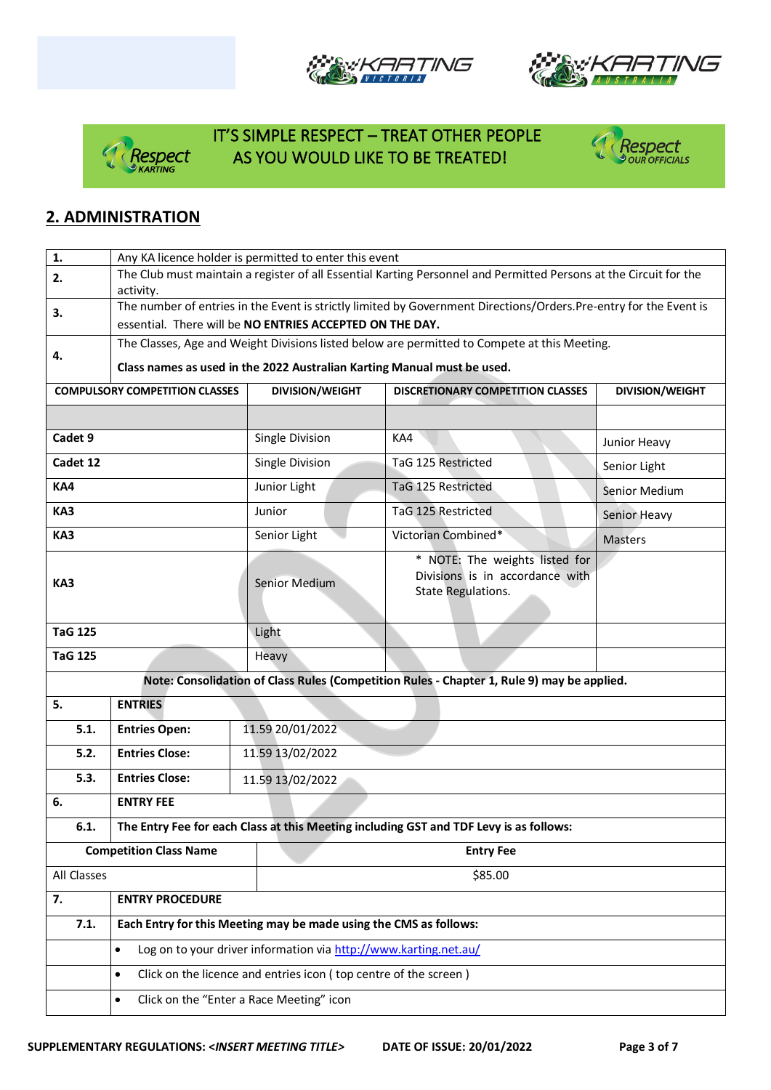







#### **2. ADMINISTRATION**

| 1.                                                                                             | Any KA licence holder is permitted to enter this event                                                             |                                                                   |                                          |                        |  |  |  |
|------------------------------------------------------------------------------------------------|--------------------------------------------------------------------------------------------------------------------|-------------------------------------------------------------------|------------------------------------------|------------------------|--|--|--|
| 2.                                                                                             | The Club must maintain a register of all Essential Karting Personnel and Permitted Persons at the Circuit for the  |                                                                   |                                          |                        |  |  |  |
|                                                                                                | activity.                                                                                                          |                                                                   |                                          |                        |  |  |  |
| 3.                                                                                             | The number of entries in the Event is strictly limited by Government Directions/Orders. Pre-entry for the Event is |                                                                   |                                          |                        |  |  |  |
|                                                                                                | essential. There will be NO ENTRIES ACCEPTED ON THE DAY.                                                           |                                                                   |                                          |                        |  |  |  |
| 4.                                                                                             | The Classes, Age and Weight Divisions listed below are permitted to Compete at this Meeting.                       |                                                                   |                                          |                        |  |  |  |
|                                                                                                | Class names as used in the 2022 Australian Karting Manual must be used.                                            |                                                                   |                                          |                        |  |  |  |
|                                                                                                | <b>COMPULSORY COMPETITION CLASSES</b>                                                                              | <b>DIVISION/WEIGHT</b>                                            | <b>DISCRETIONARY COMPETITION CLASSES</b> | <b>DIVISION/WEIGHT</b> |  |  |  |
|                                                                                                |                                                                                                                    |                                                                   |                                          |                        |  |  |  |
|                                                                                                |                                                                                                                    |                                                                   |                                          |                        |  |  |  |
| Cadet 9                                                                                        |                                                                                                                    | Single Division<br>KA4                                            |                                          | Junior Heavy           |  |  |  |
| Cadet 12                                                                                       |                                                                                                                    | Single Division                                                   | TaG 125 Restricted                       | Senior Light           |  |  |  |
| KA4                                                                                            |                                                                                                                    | Junior Light                                                      | TaG 125 Restricted                       | Senior Medium          |  |  |  |
| KA3                                                                                            |                                                                                                                    | Junior                                                            | TaG 125 Restricted                       | Senior Heavy           |  |  |  |
| KA3                                                                                            |                                                                                                                    | Senior Light                                                      | Victorian Combined*                      | <b>Masters</b>         |  |  |  |
|                                                                                                |                                                                                                                    |                                                                   | * NOTE: The weights listed for           |                        |  |  |  |
| KA3                                                                                            |                                                                                                                    | Senior Medium                                                     | Divisions is in accordance with          |                        |  |  |  |
|                                                                                                |                                                                                                                    |                                                                   | State Regulations.                       |                        |  |  |  |
|                                                                                                |                                                                                                                    |                                                                   |                                          |                        |  |  |  |
| <b>TaG 125</b>                                                                                 |                                                                                                                    | Light                                                             |                                          |                        |  |  |  |
| <b>TaG 125</b>                                                                                 |                                                                                                                    | Heavy                                                             |                                          |                        |  |  |  |
|                                                                                                | Note: Consolidation of Class Rules (Competition Rules - Chapter 1, Rule 9) may be applied.                         |                                                                   |                                          |                        |  |  |  |
| 5.                                                                                             | <b>ENTRIES</b>                                                                                                     |                                                                   |                                          |                        |  |  |  |
| 5.1.                                                                                           | 11.59 20/01/2022<br><b>Entries Open:</b>                                                                           |                                                                   |                                          |                        |  |  |  |
| 5.2.                                                                                           | <b>Entries Close:</b><br>11.59 13/02/2022                                                                          |                                                                   |                                          |                        |  |  |  |
| 5.3.                                                                                           | <b>Entries Close:</b>                                                                                              | 11.59 13/02/2022                                                  |                                          |                        |  |  |  |
| 6.                                                                                             | <b>ENTRY FEE</b>                                                                                                   |                                                                   |                                          |                        |  |  |  |
| The Entry Fee for each Class at this Meeting including GST and TDF Levy is as follows:<br>6.1. |                                                                                                                    |                                                                   |                                          |                        |  |  |  |
|                                                                                                | <b>Competition Class Name</b>                                                                                      |                                                                   | <b>Entry Fee</b>                         |                        |  |  |  |
| All Classes                                                                                    |                                                                                                                    | \$85.00                                                           |                                          |                        |  |  |  |
| 7.                                                                                             | <b>ENTRY PROCEDURE</b>                                                                                             |                                                                   |                                          |                        |  |  |  |
| 7.1.                                                                                           |                                                                                                                    | Each Entry for this Meeting may be made using the CMS as follows: |                                          |                        |  |  |  |
|                                                                                                | Log on to your driver information via http://www.karting.net.au/<br>$\bullet$                                      |                                                                   |                                          |                        |  |  |  |
|                                                                                                | Click on the licence and entries icon (top centre of the screen)<br>$\bullet$                                      |                                                                   |                                          |                        |  |  |  |
|                                                                                                | Click on the "Enter a Race Meeting" icon<br>$\bullet$                                                              |                                                                   |                                          |                        |  |  |  |
|                                                                                                |                                                                                                                    |                                                                   |                                          |                        |  |  |  |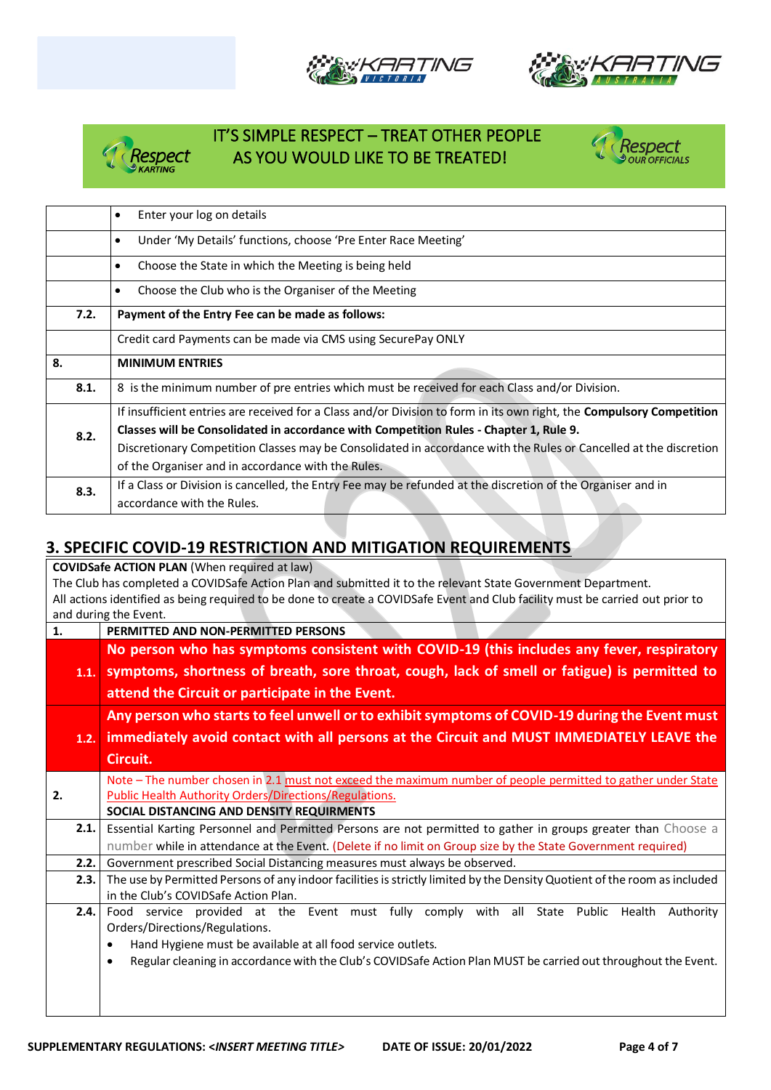







|      | Enter your log on details<br>$\bullet$                                                                                       |  |  |  |
|------|------------------------------------------------------------------------------------------------------------------------------|--|--|--|
|      | Under 'My Details' functions, choose 'Pre Enter Race Meeting'<br>$\bullet$                                                   |  |  |  |
|      | Choose the State in which the Meeting is being held<br>$\bullet$                                                             |  |  |  |
|      | Choose the Club who is the Organiser of the Meeting<br>$\bullet$                                                             |  |  |  |
| 7.2. | Payment of the Entry Fee can be made as follows:                                                                             |  |  |  |
|      | Credit card Payments can be made via CMS using SecurePay ONLY                                                                |  |  |  |
| 8.   | <b>MINIMUM ENTRIES</b>                                                                                                       |  |  |  |
|      |                                                                                                                              |  |  |  |
| 8.1. | 8 is the minimum number of pre entries which must be received for each Class and/or Division.                                |  |  |  |
|      | If insufficient entries are received for a Class and/or Division to form in its own right, the <b>Compulsory Competition</b> |  |  |  |
|      | Classes will be Consolidated in accordance with Competition Rules - Chapter 1, Rule 9.                                       |  |  |  |
| 8.2. | Discretionary Competition Classes may be Consolidated in accordance with the Rules or Cancelled at the discretion            |  |  |  |
|      | of the Organiser and in accordance with the Rules.                                                                           |  |  |  |
| 8.3. | If a Class or Division is cancelled, the Entry Fee may be refunded at the discretion of the Organiser and in                 |  |  |  |

#### **3. SPECIFIC COVID-19 RESTRICTION AND MITIGATION REQUIREMENTS**

| <b>COVIDSafe ACTION PLAN (When required at law)</b>                                                          |                                                                                                                                |  |  |  |  |
|--------------------------------------------------------------------------------------------------------------|--------------------------------------------------------------------------------------------------------------------------------|--|--|--|--|
| The Club has completed a COVIDSafe Action Plan and submitted it to the relevant State Government Department. |                                                                                                                                |  |  |  |  |
|                                                                                                              | All actions identified as being required to be done to create a COVIDSafe Event and Club facility must be carried out prior to |  |  |  |  |
|                                                                                                              | and during the Event.                                                                                                          |  |  |  |  |
| 1.                                                                                                           | PERMITTED AND NON-PERMITTED PERSONS                                                                                            |  |  |  |  |
|                                                                                                              | No person who has symptoms consistent with COVID-19 (this includes any fever, respiratory                                      |  |  |  |  |
| 1.1.                                                                                                         | symptoms, shortness of breath, sore throat, cough, lack of smell or fatigue) is permitted to                                   |  |  |  |  |
|                                                                                                              | attend the Circuit or participate in the Event.                                                                                |  |  |  |  |
|                                                                                                              | Any person who starts to feel unwell or to exhibit symptoms of COVID-19 during the Event must                                  |  |  |  |  |
| 1.2.                                                                                                         | immediately avoid contact with all persons at the Circuit and MUST IMMEDIATELY LEAVE the                                       |  |  |  |  |
|                                                                                                              | Circuit.                                                                                                                       |  |  |  |  |
|                                                                                                              | Note - The number chosen in 2.1 must not exceed the maximum number of people permitted to gather under State                   |  |  |  |  |
| 2.                                                                                                           | <b>Public Health Authority Orders/Directions/Regulations.</b>                                                                  |  |  |  |  |
|                                                                                                              | SOCIAL DISTANCING AND DENSITY REQUIRMENTS                                                                                      |  |  |  |  |
| 2.1.                                                                                                         | Essential Karting Personnel and Permitted Persons are not permitted to gather in groups greater than Choose a                  |  |  |  |  |
|                                                                                                              | number while in attendance at the Event. (Delete if no limit on Group size by the State Government required)                   |  |  |  |  |
| 2.2.                                                                                                         | Government prescribed Social Distancing measures must always be observed.                                                      |  |  |  |  |
| 2.3.                                                                                                         | The use by Permitted Persons of any indoor facilities is strictly limited by the Density Quotient of the room as included      |  |  |  |  |
|                                                                                                              | in the Club's COVIDSafe Action Plan.                                                                                           |  |  |  |  |
| 2.4.                                                                                                         | Food service provided at the Event must fully comply with all State Public Health Authority                                    |  |  |  |  |
|                                                                                                              | Orders/Directions/Regulations.                                                                                                 |  |  |  |  |
|                                                                                                              | Hand Hygiene must be available at all food service outlets.                                                                    |  |  |  |  |
|                                                                                                              | Regular cleaning in accordance with the Club's COVIDSafe Action Plan MUST be carried out throughout the Event.<br>٠            |  |  |  |  |
|                                                                                                              |                                                                                                                                |  |  |  |  |
|                                                                                                              |                                                                                                                                |  |  |  |  |
|                                                                                                              |                                                                                                                                |  |  |  |  |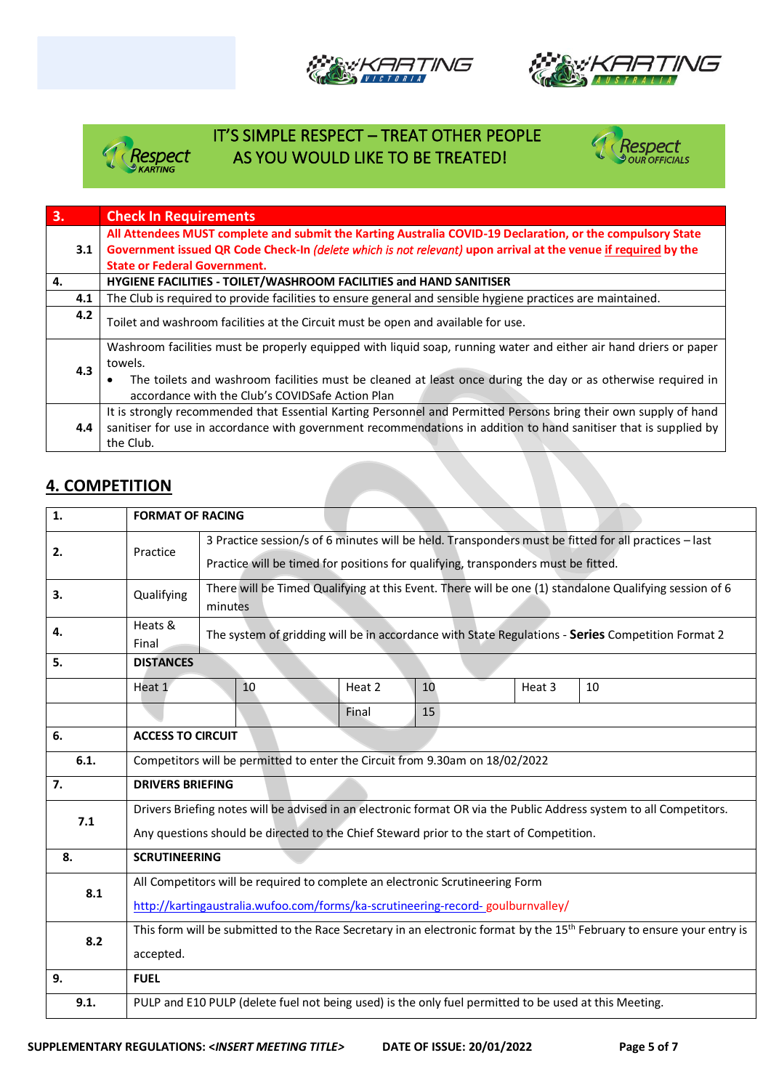







| 3.  | <b>Check In Requirements</b>                                                                                      |  |  |  |
|-----|-------------------------------------------------------------------------------------------------------------------|--|--|--|
|     | All Attendees MUST complete and submit the Karting Australia COVID-19 Declaration, or the compulsory State        |  |  |  |
| 3.1 | Government issued QR Code Check-In (delete which is not relevant) upon arrival at the venue if required by the    |  |  |  |
|     | <b>State or Federal Government.</b>                                                                               |  |  |  |
| 4.  | HYGIENE FACILITIES - TOILET/WASHROOM FACILITIES and HAND SANITISER                                                |  |  |  |
| 4.1 | The Club is required to provide facilities to ensure general and sensible hygiene practices are maintained.       |  |  |  |
| 4.2 | Toilet and washroom facilities at the Circuit must be open and available for use.                                 |  |  |  |
|     | Washroom facilities must be properly equipped with liquid soap, running water and either air hand driers or paper |  |  |  |
| 4.3 | towels.                                                                                                           |  |  |  |
|     | The toilets and washroom facilities must be cleaned at least once during the day or as otherwise required in      |  |  |  |
|     | accordance with the Club's COVIDSafe Action Plan                                                                  |  |  |  |
|     | It is strongly recommended that Essential Karting Personnel and Permitted Persons bring their own supply of hand  |  |  |  |
| 4.4 | sanitiser for use in accordance with government recommendations in addition to hand sanitiser that is supplied by |  |  |  |
|     | the Club.                                                                                                         |  |  |  |

#### **4. COMPETITION**

| 1.   | <b>FORMAT OF RACING</b>                                                                                                                                                                                         |                                                                                                                                                                                           |                                                                                                       |    |        |    |
|------|-----------------------------------------------------------------------------------------------------------------------------------------------------------------------------------------------------------------|-------------------------------------------------------------------------------------------------------------------------------------------------------------------------------------------|-------------------------------------------------------------------------------------------------------|----|--------|----|
| 2.   | Practice                                                                                                                                                                                                        | 3 Practice session/s of 6 minutes will be held. Transponders must be fitted for all practices - last<br>Practice will be timed for positions for qualifying, transponders must be fitted. |                                                                                                       |    |        |    |
| 3.   | Qualifying                                                                                                                                                                                                      | There will be Timed Qualifying at this Event. There will be one (1) standalone Qualifying session of 6<br>minutes                                                                         |                                                                                                       |    |        |    |
| 4.   | Heats &<br>Final                                                                                                                                                                                                | The system of gridding will be in accordance with State Regulations - Series Competition Format 2                                                                                         |                                                                                                       |    |        |    |
| 5.   | <b>DISTANCES</b>                                                                                                                                                                                                |                                                                                                                                                                                           |                                                                                                       |    |        |    |
|      | Heat 1                                                                                                                                                                                                          | 10                                                                                                                                                                                        | Heat 2                                                                                                | 10 | Heat 3 | 10 |
|      |                                                                                                                                                                                                                 |                                                                                                                                                                                           | Final                                                                                                 | 15 |        |    |
| 6.   | <b>ACCESS TO CIRCUIT</b>                                                                                                                                                                                        |                                                                                                                                                                                           |                                                                                                       |    |        |    |
| 6.1. | Competitors will be permitted to enter the Circuit from 9.30am on 18/02/2022                                                                                                                                    |                                                                                                                                                                                           |                                                                                                       |    |        |    |
| 7.   | <b>DRIVERS BRIEFING</b>                                                                                                                                                                                         |                                                                                                                                                                                           |                                                                                                       |    |        |    |
| 7.1  | Drivers Briefing notes will be advised in an electronic format OR via the Public Address system to all Competitors.<br>Any questions should be directed to the Chief Steward prior to the start of Competition. |                                                                                                                                                                                           |                                                                                                       |    |        |    |
| 8.   | <b>SCRUTINEERING</b>                                                                                                                                                                                            |                                                                                                                                                                                           |                                                                                                       |    |        |    |
| 8.1  | All Competitors will be required to complete an electronic Scrutineering Form<br>http://kartingaustralia.wufoo.com/forms/ka-scrutineering-record-goulburnvalley/                                                |                                                                                                                                                                                           |                                                                                                       |    |        |    |
| 8.2  | This form will be submitted to the Race Secretary in an electronic format by the 15 <sup>th</sup> February to ensure your entry is<br>accepted.                                                                 |                                                                                                                                                                                           |                                                                                                       |    |        |    |
| 9.   | <b>FUEL</b>                                                                                                                                                                                                     |                                                                                                                                                                                           |                                                                                                       |    |        |    |
| 9.1. |                                                                                                                                                                                                                 |                                                                                                                                                                                           | PULP and E10 PULP (delete fuel not being used) is the only fuel permitted to be used at this Meeting. |    |        |    |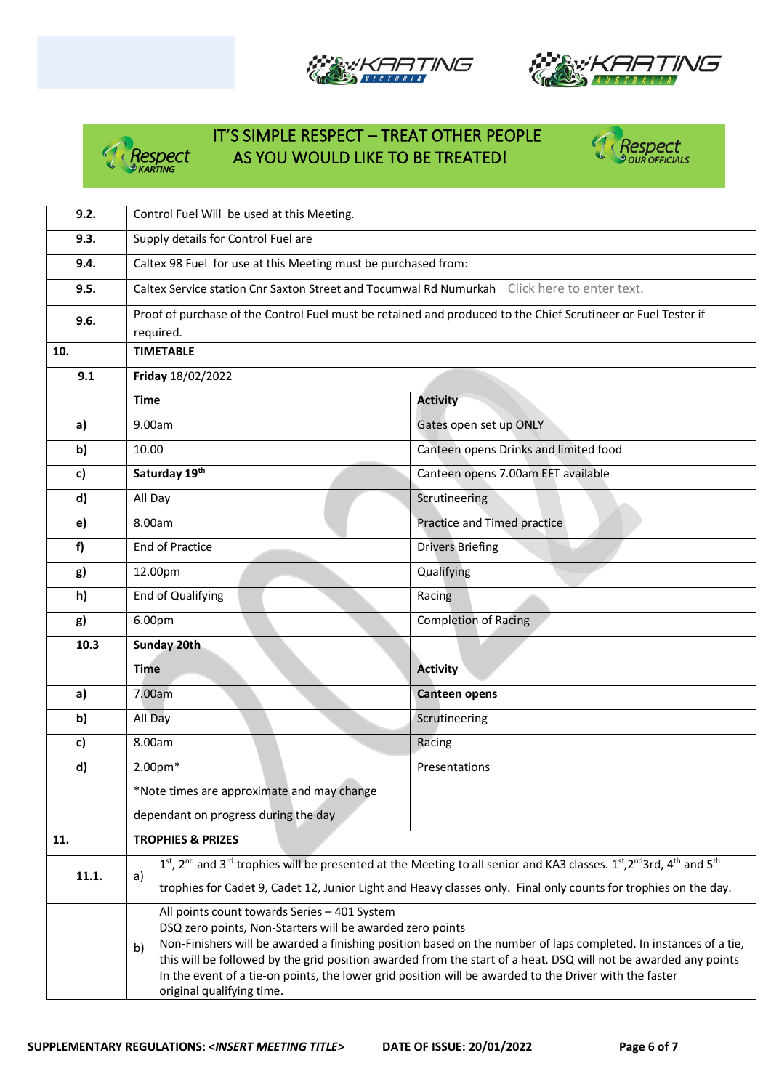







| 9.2.         | Control Fuel Will be used at this Meeting.                                                                                                                                    |                                                                                                                     |  |  |  |  |
|--------------|-------------------------------------------------------------------------------------------------------------------------------------------------------------------------------|---------------------------------------------------------------------------------------------------------------------|--|--|--|--|
| 9.3.         | Supply details for Control Fuel are                                                                                                                                           |                                                                                                                     |  |  |  |  |
| 9.4.         | Caltex 98 Fuel for use at this Meeting must be purchased from:                                                                                                                |                                                                                                                     |  |  |  |  |
| 9.5.         | Caltex Service station Cnr Saxton Street and Tocumwal Rd Numurkah Click here to enter text.                                                                                   |                                                                                                                     |  |  |  |  |
| 9.6.         | Proof of purchase of the Control Fuel must be retained and produced to the Chief Scrutineer or Fuel Tester if                                                                 |                                                                                                                     |  |  |  |  |
| 10.          | required.                                                                                                                                                                     |                                                                                                                     |  |  |  |  |
|              | <b>TIMETABLE</b>                                                                                                                                                              |                                                                                                                     |  |  |  |  |
| 9.1          | Friday 18/02/2022                                                                                                                                                             |                                                                                                                     |  |  |  |  |
|              | <b>Time</b>                                                                                                                                                                   | <b>Activity</b>                                                                                                     |  |  |  |  |
| a)           | 9.00am                                                                                                                                                                        | Gates open set up ONLY                                                                                              |  |  |  |  |
| b)           | 10.00                                                                                                                                                                         | Canteen opens Drinks and limited food                                                                               |  |  |  |  |
| c)           | Saturday 19th                                                                                                                                                                 | Canteen opens 7.00am EFT available                                                                                  |  |  |  |  |
| $\mathsf{d}$ | All Day                                                                                                                                                                       | Scrutineering                                                                                                       |  |  |  |  |
| e)           | 8.00am                                                                                                                                                                        | Practice and Timed practice                                                                                         |  |  |  |  |
| f            | <b>End of Practice</b>                                                                                                                                                        | <b>Drivers Briefing</b>                                                                                             |  |  |  |  |
| g)           | 12.00pm                                                                                                                                                                       | Qualifying                                                                                                          |  |  |  |  |
| h)           | End of Qualifying                                                                                                                                                             | Racing                                                                                                              |  |  |  |  |
| g)           | 6.00pm                                                                                                                                                                        | <b>Completion of Racing</b>                                                                                         |  |  |  |  |
| 10.3         | Sunday 20th                                                                                                                                                                   |                                                                                                                     |  |  |  |  |
|              | <b>Time</b>                                                                                                                                                                   | <b>Activity</b>                                                                                                     |  |  |  |  |
| a)           | 7.00am                                                                                                                                                                        | <b>Canteen opens</b>                                                                                                |  |  |  |  |
| b)           | All Day                                                                                                                                                                       | Scrutineering                                                                                                       |  |  |  |  |
| c)           | 8.00am                                                                                                                                                                        | Racing                                                                                                              |  |  |  |  |
| d)           | 2.00pm*                                                                                                                                                                       | Presentations                                                                                                       |  |  |  |  |
|              | *Note times are approximate and may change                                                                                                                                    |                                                                                                                     |  |  |  |  |
|              | dependant on progress during the day                                                                                                                                          |                                                                                                                     |  |  |  |  |
| 11.          | <b>TROPHIES &amp; PRIZES</b>                                                                                                                                                  |                                                                                                                     |  |  |  |  |
| 11.1.        | a)                                                                                                                                                                            | 1st, 2nd and 3rd trophies will be presented at the Meeting to all senior and KA3 classes. 1st, 2nd 3rd, 4th and 5th |  |  |  |  |
|              |                                                                                                                                                                               | trophies for Cadet 9, Cadet 12, Junior Light and Heavy classes only. Final only counts for trophies on the day.     |  |  |  |  |
|              | All points count towards Series - 401 System                                                                                                                                  |                                                                                                                     |  |  |  |  |
|              | DSQ zero points, Non-Starters will be awarded zero points<br>Non-Finishers will be awarded a finishing position based on the number of laps completed. In instances of a tie, |                                                                                                                     |  |  |  |  |
|              | b)                                                                                                                                                                            | this will be followed by the grid position awarded from the start of a heat. DSQ will not be awarded any points     |  |  |  |  |
|              | In the event of a tie-on points, the lower grid position will be awarded to the Driver with the faster                                                                        |                                                                                                                     |  |  |  |  |
|              | original qualifying time.                                                                                                                                                     |                                                                                                                     |  |  |  |  |